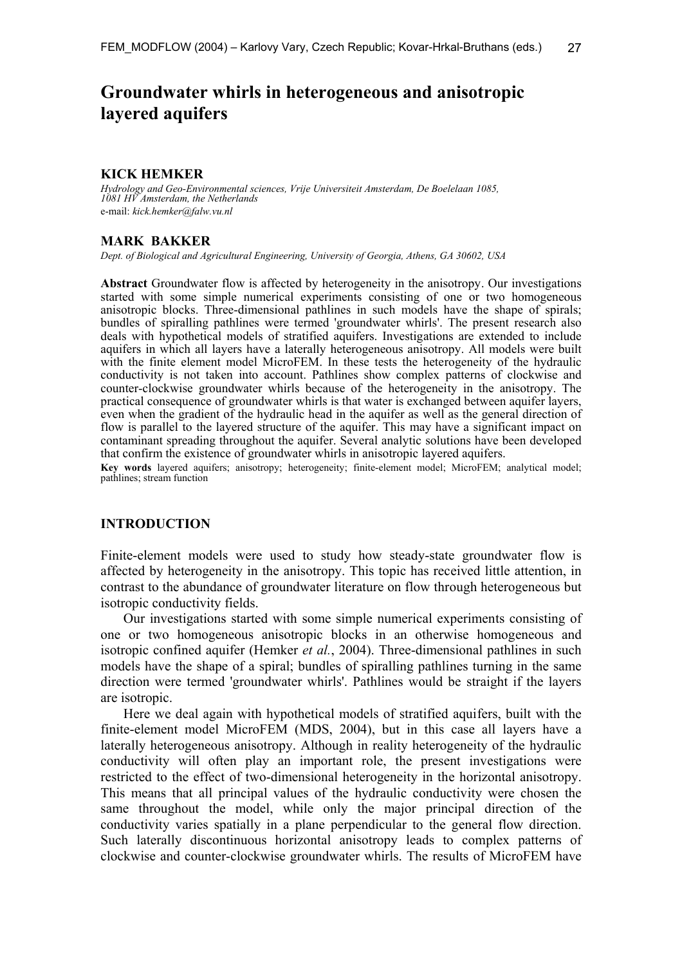# **Groundwater whirls in heterogeneous and anisotropic layered aquifers**

### **KICK HEMKER**

*Hydrology and Geo-Environmental sciences, Vrije Universiteit Amsterdam, De Boelelaan 1085, 1081 HV Amsterdam, the Netherlands*  e-mail: *kick.hemker@falw.vu.nl*

#### **MARK BAKKER**

*Dept. of Biological and Agricultural Engineering, University of Georgia, Athens, GA 30602, USA* 

**Abstract** Groundwater flow is affected by heterogeneity in the anisotropy. Our investigations started with some simple numerical experiments consisting of one or two homogeneous anisotropic blocks. Three-dimensional pathlines in such models have the shape of spirals; bundles of spiralling pathlines were termed 'groundwater whirls'. The present research also deals with hypothetical models of stratified aquifers. Investigations are extended to include aquifers in which all layers have a laterally heterogeneous anisotropy. All models were built with the finite element model MicroFEM. In these tests the heterogeneity of the hydraulic conductivity is not taken into account. Pathlines show complex patterns of clockwise and counter-clockwise groundwater whirls because of the heterogeneity in the anisotropy. The practical consequence of groundwater whirls is that water is exchanged between aquifer layers, even when the gradient of the hydraulic head in the aquifer as well as the general direction of flow is parallel to the layered structure of the aquifer. This may have a significant impact on contaminant spreading throughout the aquifer. Several analytic solutions have been developed that confirm the existence of groundwater whirls in anisotropic layered aquifers.

**Key words** layered aquifers; anisotropy; heterogeneity; finite-element model; MicroFEM; analytical model; pathlines; stream function

# **INTRODUCTION**

Finite-element models were used to study how steady-state groundwater flow is affected by heterogeneity in the anisotropy. This topic has received little attention, in contrast to the abundance of groundwater literature on flow through heterogeneous but isotropic conductivity fields.

Our investigations started with some simple numerical experiments consisting of one or two homogeneous anisotropic blocks in an otherwise homogeneous and isotropic confined aquifer (Hemker *et al.*, 2004). Three-dimensional pathlines in such models have the shape of a spiral; bundles of spiralling pathlines turning in the same direction were termed 'groundwater whirls'. Pathlines would be straight if the layers are isotropic.

Here we deal again with hypothetical models of stratified aquifers, built with the finite-element model MicroFEM (MDS, 2004), but in this case all layers have a laterally heterogeneous anisotropy. Although in reality heterogeneity of the hydraulic conductivity will often play an important role, the present investigations were restricted to the effect of two-dimensional heterogeneity in the horizontal anisotropy. This means that all principal values of the hydraulic conductivity were chosen the same throughout the model, while only the major principal direction of the conductivity varies spatially in a plane perpendicular to the general flow direction. Such laterally discontinuous horizontal anisotropy leads to complex patterns of clockwise and counter-clockwise groundwater whirls. The results of MicroFEM have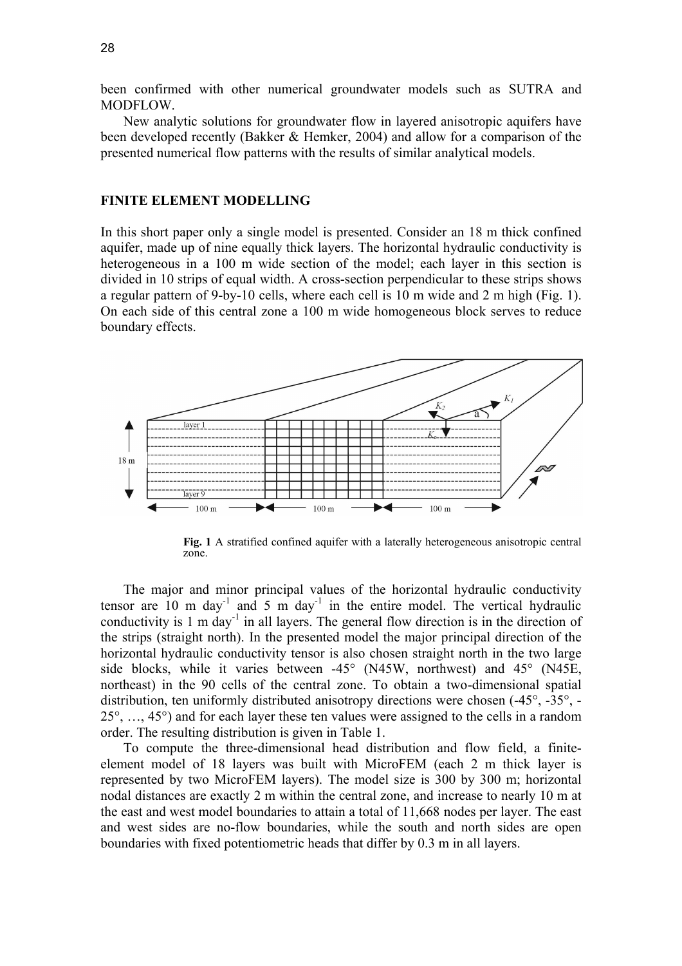been confirmed with other numerical groundwater models such as SUTRA and MODFLOW.

New analytic solutions for groundwater flow in layered anisotropic aquifers have been developed recently (Bakker & Hemker, 2004) and allow for a comparison of the presented numerical flow patterns with the results of similar analytical models.

### **FINITE ELEMENT MODELLING**

In this short paper only a single model is presented. Consider an 18 m thick confined aquifer, made up of nine equally thick layers. The horizontal hydraulic conductivity is heterogeneous in a 100 m wide section of the model; each layer in this section is divided in 10 strips of equal width. A cross-section perpendicular to these strips shows a regular pattern of 9-by-10 cells, where each cell is 10 m wide and 2 m high (Fig. 1). On each side of this central zone a 100 m wide homogeneous block serves to reduce boundary effects.



**Fig. 1** A stratified confined aquifer with a laterally heterogeneous anisotropic central zone.

The major and minor principal values of the horizontal hydraulic conductivity tensor are  $10 \text{ m day}$ <sup>1</sup> and  $5 \text{ m day}$ <sup>1</sup> in the entire model. The vertical hydraulic conductivity is 1 m day<sup>-1</sup> in all layers. The general flow direction is in the direction of the strips (straight north). In the presented model the major principal direction of the horizontal hydraulic conductivity tensor is also chosen straight north in the two large side blocks, while it varies between -45° (N45W, northwest) and 45° (N45E, northeast) in the 90 cells of the central zone. To obtain a two-dimensional spatial distribution, ten uniformly distributed anisotropy directions were chosen (-45°, -35°, - 25°, …, 45°) and for each layer these ten values were assigned to the cells in a random order. The resulting distribution is given in Table 1.

To compute the three-dimensional head distribution and flow field, a finiteelement model of 18 layers was built with MicroFEM (each 2 m thick layer is represented by two MicroFEM layers). The model size is 300 by 300 m; horizontal nodal distances are exactly 2 m within the central zone, and increase to nearly 10 m at the east and west model boundaries to attain a total of 11,668 nodes per layer. The east and west sides are no-flow boundaries, while the south and north sides are open boundaries with fixed potentiometric heads that differ by 0.3 m in all layers.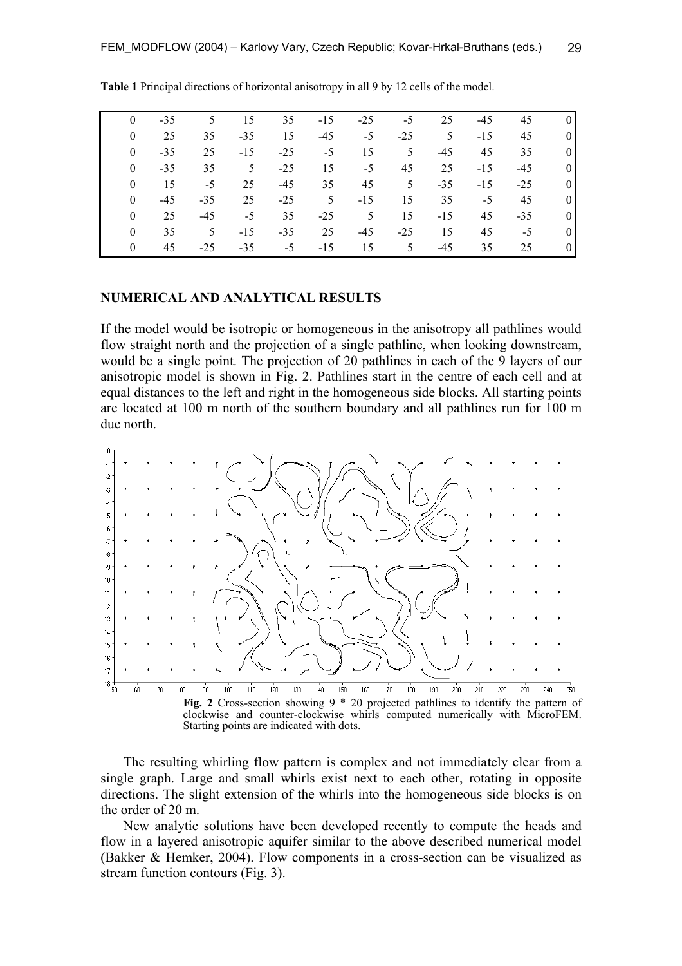| $\theta$ | $-35$ | 5 <sup>7</sup> | 15    | 35    | $-15$ | $-25$ | $-5$           | 25    | $-45$ | 45    |                    |
|----------|-------|----------------|-------|-------|-------|-------|----------------|-------|-------|-------|--------------------|
| $\theta$ | 25    | 35             | $-35$ | 15    | $-45$ | $-5$  | $-25$          | 5     | $-15$ | 45    | $\theta$           |
| $\theta$ | $-35$ | 25             | $-15$ | $-25$ | $-5$  | 15    | 5 <sup>1</sup> | $-45$ | 45    | 35    | $\theta$           |
| $\theta$ | $-35$ | 35             | 5     | $-25$ | 15    | $-5$  | 45             | 25    | $-15$ | $-45$ | $\theta$           |
| $\theta$ | 15    | $-5$           | 25    | $-45$ | 35    | 45    | 5 <sup>5</sup> | $-35$ | $-15$ | $-25$ | $\theta$           |
| $\theta$ | $-45$ | $-35$          | 25    | $-25$ | 5     | $-15$ | 15             | 35    | $-5$  | 45    | $\left( 0 \right)$ |
| $\theta$ | 25    | $-45$          | $-5$  | 35    | $-25$ | 5     | 15             | $-15$ | 45    | $-35$ | $\theta$           |
| $\theta$ | 35    | 5.             | $-15$ | $-35$ | 25    | $-45$ | $-25$          | 15    | 45    | $-5$  | $\left( 0 \right)$ |
| $\Omega$ | 45    | $-25$          | $-35$ | $-5$  | $-15$ | 15    | 5              | $-45$ | 35    | 25    | $\Omega$           |

**Table 1** Principal directions of horizontal anisotropy in all 9 by 12 cells of the model.

# **NUMERICAL AND ANALYTICAL RESULTS**

If the model would be isotropic or homogeneous in the anisotropy all pathlines would flow straight north and the projection of a single pathline, when looking downstream, would be a single point. The projection of 20 pathlines in each of the 9 layers of our anisotropic model is shown in Fig. 2. Pathlines start in the centre of each cell and at equal distances to the left and right in the homogeneous side blocks. All starting points are located at 100 m north of the southern boundary and all pathlines run for 100 m due north.



The resulting whirling flow pattern is complex and not immediately clear from a single graph. Large and small whirls exist next to each other, rotating in opposite directions. The slight extension of the whirls into the homogeneous side blocks is on the order of 20 m.

New analytic solutions have been developed recently to compute the heads and flow in a layered anisotropic aquifer similar to the above described numerical model (Bakker & Hemker, 2004). Flow components in a cross-section can be visualized as stream function contours (Fig. 3).